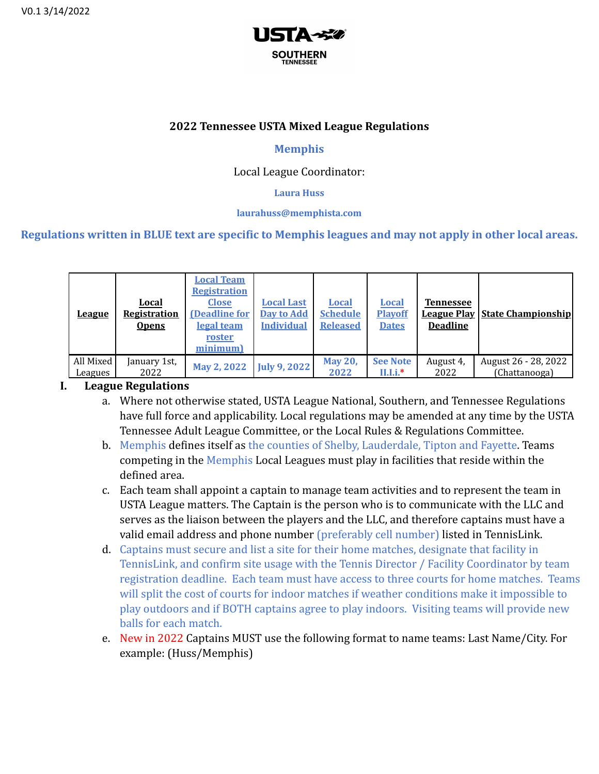

## **2022 Tennessee USTA Mixed League Regulations**

## **Memphis**

## Local League Coordinator:

#### **Laura Huss**

#### **laurahuss@memphista.com**

## **Regulations written in BLUE text are specific to Memphis leagues and may not apply in other local areas.**

| <u>League</u> | Local<br>Registration<br><b>Opens</b> | <b>Local Team</b><br><b>Registration</b><br><b>Close</b><br>(Deadline for<br>legal team<br>roster<br>minimum) | <b>Local Last</b><br><b>Day to Add</b><br><b>Individual</b> | <b>Local</b><br><b>Schedule</b><br><b>Released</b> | Local<br><b>Playoff</b><br><b>Dates</b> | <b>Tennessee</b><br><b>Deadline</b> | <b>League Play   State Championship</b> |
|---------------|---------------------------------------|---------------------------------------------------------------------------------------------------------------|-------------------------------------------------------------|----------------------------------------------------|-----------------------------------------|-------------------------------------|-----------------------------------------|
| All Mixed     | January 1st,                          | May 2, 2022                                                                                                   | <b>July 9, 2022</b>                                         | <b>May 20,</b>                                     | <b>See Note</b>                         | August 4,                           | August 26 - 28, 2022                    |
| Leagues       | 2022                                  |                                                                                                               |                                                             | 2022                                               | $II.I.i.*$                              | 2022                                | (Chattanooga)                           |

### **I. League Regulations**

- a. Where not otherwise stated, USTA League National, Southern, and Tennessee Regulations have full force and applicability. Local regulations may be amended at any time by the USTA Tennessee Adult League Committee, or the Local Rules & Regulations Committee.
- b. Memphis defines itself as the counties of Shelby, Lauderdale, Tipton and Fayette. Teams competing in the Memphis Local Leagues must play in facilities that reside within the defined area.
- c. Each team shall appoint a captain to manage team activities and to represent the team in USTA League matters. The Captain is the person who is to communicate with the LLC and serves as the liaison between the players and the LLC, and therefore captains must have a valid email address and phone number (preferably cell number) listed in TennisLink.
- d. Captains must secure and list a site for their home matches, designate that facility in TennisLink, and confirm site usage with the Tennis Director / Facility Coordinator by team registration deadline. Each team must have access to three courts for home matches. Teams will split the cost of courts for indoor matches if weather conditions make it impossible to play outdoors and if BOTH captains agree to play indoors. Visiting teams will provide new balls for each match.
- e. New in 2022 Captains MUST use the following format to name teams: Last Name/City. For example: (Huss/Memphis)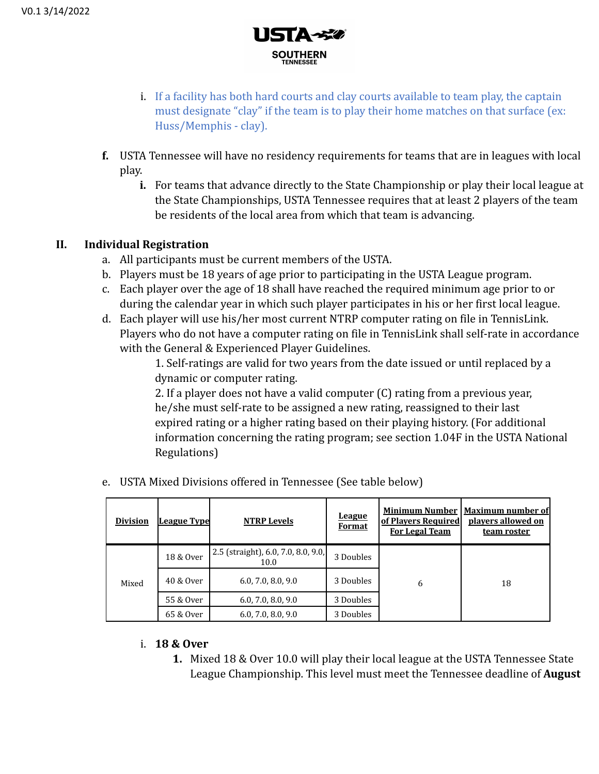

- i. If a facility has both hard courts and clay courts available to team play, the captain must designate "clay" if the team is to play their home matches on that surface (ex: Huss/Memphis - clay).
- **f.** USTA Tennessee will have no residency requirements for teams that are in leagues with local play.
	- **i.** For teams that advance directly to the State Championship or play their local league at the State Championships, USTA Tennessee requires that at least 2 players of the team be residents of the local area from which that team is advancing.

### **II. Individual Registration**

- a. All participants must be current members of the USTA.
- b. Players must be 18 years of age prior to participating in the USTA League program.
- c. Each player over the age of 18 shall have reached the required minimum age prior to or during the calendar year in which such player participates in his or her first local league.
- d. Each player will use his/her most current NTRP computer rating on file in TennisLink. Players who do not have a computer rating on file in TennisLink shall self-rate in accordance with the General & Experienced Player Guidelines.

1. Self-ratings are valid for two years from the date issued or until replaced by a dynamic or computer rating.

2. If a player does not have a valid computer (C) rating from a previous year, he/she must self-rate to be assigned a new rating, reassigned to their last expired rating or a higher rating based on their playing history. (For additional information concerning the rating program; see section 1.04F in the USTA National Regulations)

| <b>Division</b> | <b>League Type</b> | <b>NTRP Levels</b>                          | League<br><b>Format</b> | <b>Minimum Number</b><br>of Players Required<br><b>For Legal Team</b> | <b>Maximum number of</b><br>players allowed on<br>team roster |
|-----------------|--------------------|---------------------------------------------|-------------------------|-----------------------------------------------------------------------|---------------------------------------------------------------|
| Mixed           | 18 & Over          | 2.5 (straight), 6.0, 7.0, 8.0, 9.0,<br>10.0 | 3 Doubles               |                                                                       | 18                                                            |
|                 | 40 & Over          | 6.0, 7.0, 8.0, 9.0                          | 3 Doubles               | 6                                                                     |                                                               |
|                 | 55 & Over          | 6.0, 7.0, 8.0, 9.0                          | 3 Doubles               |                                                                       |                                                               |
|                 | 65 & Over          | 6.0, 7.0, 8.0, 9.0                          |                         |                                                                       |                                                               |

e. USTA Mixed Divisions offered in Tennessee (See table below)

### i. **18 & Over**

**1.** Mixed 18 & Over 10.0 will play their local league at the USTA Tennessee State League Championship. This level must meet the Tennessee deadline of **August**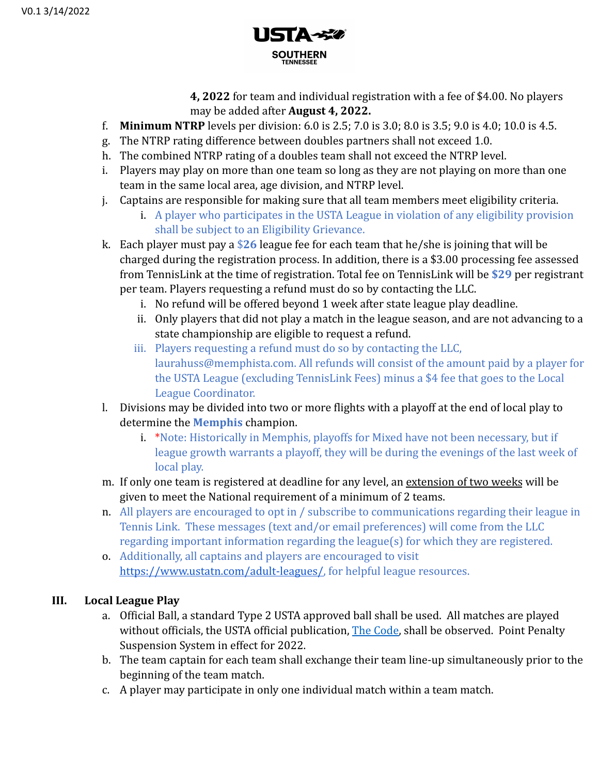

**4, 2022** for team and individual registration with a fee of \$4.00. No players may be added after **August 4, 2022.**

- f. **Minimum NTRP** levels per division: 6.0 is 2.5; 7.0 is 3.0; 8.0 is 3.5; 9.0 is 4.0; 10.0 is 4.5.
- g. The NTRP rating difference between doubles partners shall not exceed 1.0.
- h. The combined NTRP rating of a doubles team shall not exceed the NTRP level.
- i. Players may play on more than one team so long as they are not playing on more than one team in the same local area, age division, and NTRP level.
- j. Captains are responsible for making sure that all team members meet eligibility criteria.
	- i. A player who participates in the USTA League in violation of any eligibility provision shall be subject to an Eligibility Grievance.
- k. Each player must pay a \$**26** league fee for each team that he/she is joining that will be charged during the registration process. In addition, there is a \$3.00 processing fee assessed from TennisLink at the time of registration. Total fee on TennisLink will be **\$29** per registrant per team. Players requesting a refund must do so by contacting the LLC.
	- i. No refund will be offered beyond 1 week after state league play deadline.
	- ii. Only players that did not play a match in the league season, and are not advancing to a state championship are eligible to request a refund.
	- iii. Players requesting a refund must do so by contacting the LLC, laurahuss@memphista.com. All refunds will consist of the amount paid by a player for the USTA League (excluding TennisLink Fees) minus a \$4 fee that goes to the Local League Coordinator.
- l. Divisions may be divided into two or more flights with a playoff at the end of local play to determine the **Memphis** champion.
	- i. \*Note: Historically in Memphis, playoffs for Mixed have not been necessary, but if league growth warrants a playoff, they will be during the evenings of the last week of local play.
- m. If only one team is registered at deadline for any level, an extension of two weeks will be given to meet the National requirement of a minimum of 2 teams.
- n. All players are encouraged to opt in / subscribe to communications regarding their league in Tennis Link. These messages (text and/or email preferences) will come from the LLC regarding important information regarding the league(s) for which they are registered.
- o. Additionally, all captains and players are encouraged to visit [https://www.ustatn.com/adult-leagues/,](https://www.ustatn.com/adult-leagues/) for helpful league resources.

# **III. Local League Play**

- a. Official Ball, a standard Type 2 USTA approved ball shall be used. All matches are played without officials, the USTA official publication, [The Code,](https://www.usta.com/content/dam/usta/2022-pdfs/2022%20Friend%20at%20Court.pdf) shall be observed. Point Penalty Suspension System in effect for 2022.
- b. The team captain for each team shall exchange their team line-up simultaneously prior to the beginning of the team match.
- c. A player may participate in only one individual match within a team match.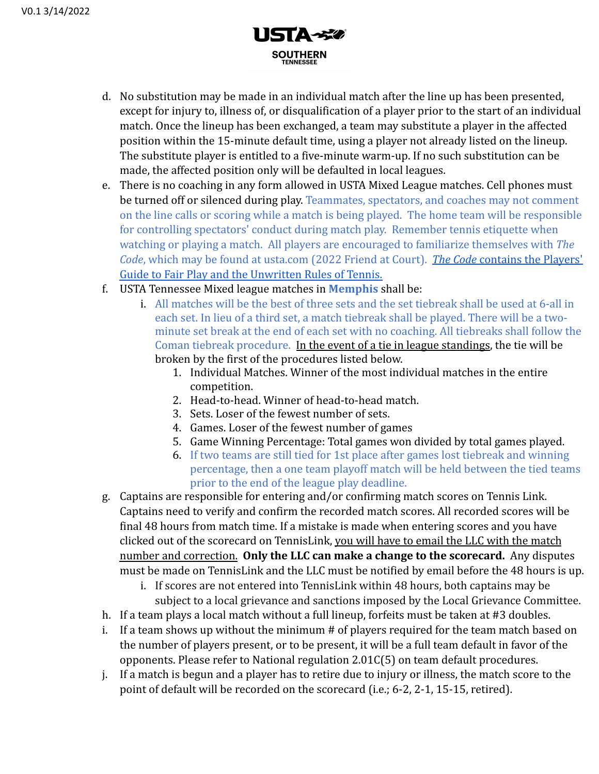

- d. No substitution may be made in an individual match after the line up has been presented, except for injury to, illness of, or disqualification of a player prior to the start of an individual match. Once the lineup has been exchanged, a team may substitute a player in the affected position within the 15-minute default time, using a player not already listed on the lineup. The substitute player is entitled to a five-minute warm-up. If no such substitution can be made, the affected position only will be defaulted in local leagues.
- e. There is no coaching in any form allowed in USTA Mixed League matches. Cell phones must be turned off or silenced during play. Teammates, spectators, and coaches may not comment on the line calls or scoring while a match is being played. The home team will be responsible for controlling spectators' conduct during match play. Remember tennis etiquette when watching or playing a match. All players are encouraged to familiarize themselves with *The Code*, which may be found at usta.com (2022 Friend at Court). *[The Code](https://www.usta.com/content/dam/usta/2022-pdfs/2022%20Friend%20at%20Court.pdf)* [contains the Players'](https://www.usta.com/content/dam/usta/officiating/2020%20Friend%20at%20Court.pdf) [Guide to Fair Play and the Unwritten Rules of Tennis.](https://www.usta.com/content/dam/usta/officiating/2020%20Friend%20at%20Court.pdf)
- f. USTA Tennessee Mixed league matches in **Memphis** shall be:
	- i. All matches will be the best of three sets and the set tiebreak shall be used at 6-all in each set. In lieu of a third set, a match tiebreak shall be played. There will be a twominute set break at the end of each set with no coaching. All tiebreaks shall follow the Coman tiebreak procedure. In the event of a tie in league standings, the tie will be broken by the first of the procedures listed below.
		- 1. Individual Matches. Winner of the most individual matches in the entire competition.
		- 2. Head-to-head. Winner of head-to-head match.
		- 3. Sets. Loser of the fewest number of sets.
		- 4. Games. Loser of the fewest number of games
		- 5. Game Winning Percentage: Total games won divided by total games played.
		- 6. If two teams are still tied for 1st place after games lost tiebreak and winning percentage, then a one team playoff match will be held between the tied teams prior to the end of the league play deadline.
- g. Captains are responsible for entering and/or confirming match scores on Tennis Link. Captains need to verify and confirm the recorded match scores. All recorded scores will be final 48 hours from match time. If a mistake is made when entering scores and you have clicked out of the scorecard on TennisLink, you will have to email the LLC with the match number and correction. **Only the LLC can make a change to the scorecard.** Any disputes must be made on TennisLink and the LLC must be notified by email before the 48 hours is up.
	- i. If scores are not entered into TennisLink within 48 hours, both captains may be subject to a local grievance and sanctions imposed by the Local Grievance Committee.
- h. If a team plays a local match without a full lineup, forfeits must be taken at #3 doubles.
- i. If a team shows up without the minimum # of players required for the team match based on the number of players present, or to be present, it will be a full team default in favor of the opponents. Please refer to National regulation 2.01C(5) on team default procedures.
- j. If a match is begun and a player has to retire due to injury or illness, the match score to the point of default will be recorded on the scorecard (i.e.; 6-2, 2-1, 15-15, retired).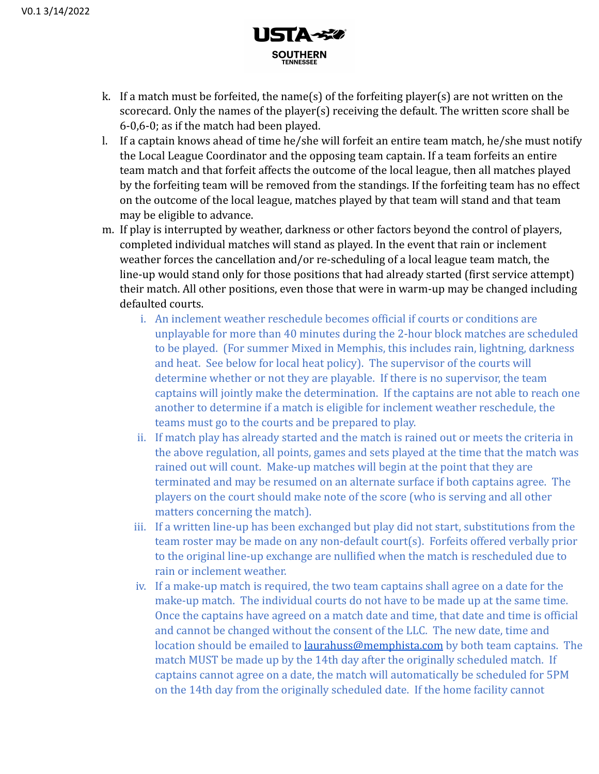

- k. If a match must be forfeited, the name(s) of the forfeiting player(s) are not written on the scorecard. Only the names of the player(s) receiving the default. The written score shall be 6-0,6-0; as if the match had been played.
- l. If a captain knows ahead of time he/she will forfeit an entire team match, he/she must notify the Local League Coordinator and the opposing team captain. If a team forfeits an entire team match and that forfeit affects the outcome of the local league, then all matches played by the forfeiting team will be removed from the standings. If the forfeiting team has no effect on the outcome of the local league, matches played by that team will stand and that team may be eligible to advance.
- m. If play is interrupted by weather, darkness or other factors beyond the control of players, completed individual matches will stand as played. In the event that rain or inclement weather forces the cancellation and/or re-scheduling of a local league team match, the line-up would stand only for those positions that had already started (first service attempt) their match. All other positions, even those that were in warm-up may be changed including defaulted courts.
	- i. An inclement weather reschedule becomes official if courts or conditions are unplayable for more than 40 minutes during the 2-hour block matches are scheduled to be played. (For summer Mixed in Memphis, this includes rain, lightning, darkness and heat. See below for local heat policy). The supervisor of the courts will determine whether or not they are playable. If there is no supervisor, the team captains will jointly make the determination. If the captains are not able to reach one another to determine if a match is eligible for inclement weather reschedule, the teams must go to the courts and be prepared to play.
	- ii. If match play has already started and the match is rained out or meets the criteria in the above regulation, all points, games and sets played at the time that the match was rained out will count. Make-up matches will begin at the point that they are terminated and may be resumed on an alternate surface if both captains agree. The players on the court should make note of the score (who is serving and all other matters concerning the match).
	- iii. If a written line-up has been exchanged but play did not start, substitutions from the team roster may be made on any non-default court(s). Forfeits offered verbally prior to the original line-up exchange are nullified when the match is rescheduled due to rain or inclement weather.
	- iv. If a make-up match is required, the two team captains shall agree on a date for the make-up match. The individual courts do not have to be made up at the same time. Once the captains have agreed on a match date and time, that date and time is official and cannot be changed without the consent of the LLC. The new date, time and location should be emailed to **[laurahuss@memphista.com](mailto:laurahuss@memphista.com)** by both team captains. The match MUST be made up by the 14th day after the originally scheduled match. If captains cannot agree on a date, the match will automatically be scheduled for 5PM on the 14th day from the originally scheduled date. If the home facility cannot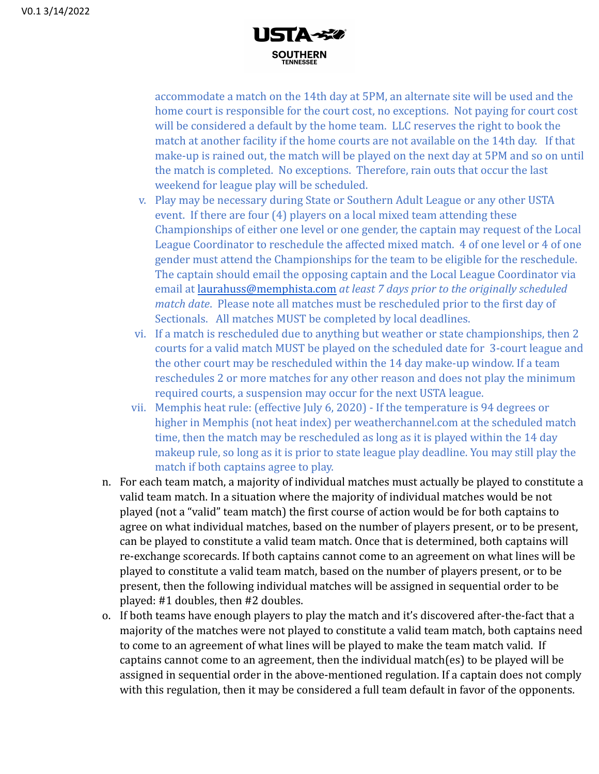

accommodate a match on the 14th day at 5PM, an alternate site will be used and the home court is responsible for the court cost, no exceptions. Not paying for court cost will be considered a default by the home team. LLC reserves the right to book the match at another facility if the home courts are not available on the 14th day. If that make-up is rained out, the match will be played on the next day at 5PM and so on until the match is completed. No exceptions. Therefore, rain outs that occur the last weekend for league play will be scheduled.

- v. Play may be necessary during State or Southern Adult League or any other USTA event. If there are four (4) players on a local mixed team attending these Championships of either one level or one gender, the captain may request of the Local League Coordinator to reschedule the affected mixed match. 4 of one level or 4 of one gender must attend the Championships for the team to be eligible for the reschedule. The captain should email the opposing captain and the Local League Coordinator via email at [laurahuss@memphista.com](mailto:laurahuss@memphista.com) *at least 7 days prior to the originally scheduled match date*. Please note all matches must be rescheduled prior to the first day of Sectionals. All matches MUST be completed by local deadlines.
- vi. If a match is rescheduled due to anything but weather or state championships, then 2 courts for a valid match MUST be played on the scheduled date for 3-court league and the other court may be rescheduled within the 14 day make-up window. If a team reschedules 2 or more matches for any other reason and does not play the minimum required courts, a suspension may occur for the next USTA league.
- vii. Memphis heat rule: (effective July 6, 2020) If the temperature is 94 degrees or higher in Memphis (not heat index) per weatherchannel.com at the scheduled match time, then the match may be rescheduled as long as it is played within the 14 day makeup rule, so long as it is prior to state league play deadline. You may still play the match if both captains agree to play.
- n. For each team match, a majority of individual matches must actually be played to constitute a valid team match. In a situation where the majority of individual matches would be not played (not a "valid" team match) the first course of action would be for both captains to agree on what individual matches, based on the number of players present, or to be present, can be played to constitute a valid team match. Once that is determined, both captains will re-exchange scorecards. If both captains cannot come to an agreement on what lines will be played to constitute a valid team match, based on the number of players present, or to be present, then the following individual matches will be assigned in sequential order to be played: #1 doubles, then #2 doubles.
- o. If both teams have enough players to play the match and it's discovered after-the-fact that a majority of the matches were not played to constitute a valid team match, both captains need to come to an agreement of what lines will be played to make the team match valid. If captains cannot come to an agreement, then the individual match(es) to be played will be assigned in sequential order in the above-mentioned regulation. If a captain does not comply with this regulation, then it may be considered a full team default in favor of the opponents.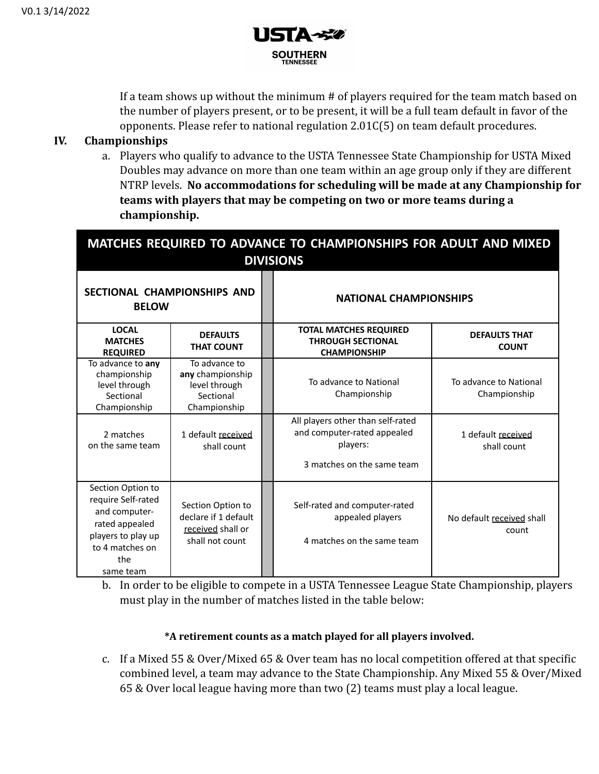

If a team shows up without the minimum # of players required for the team match based on the number of players present, or to be present, it will be a full team default in favor of the opponents. Please refer to national regulation 2.01C(5) on team default procedures.

### **IV. Championships**

a. Players who qualify to advance to the USTA Tennessee State Championship for USTA Mixed Doubles may advance on more than one team within an age group only if they are different NTRP levels. **No accommodations for scheduling will be made at any Championship for teams with players that may be competing on two or more teams during a championship.**

| MATCHES REQUIRED TO ADVANCE TO CHAMPIONSHIPS FOR ADULT AND MIXED<br><b>DIVISIONS</b>                                                    |                                                                                   |  |                                                                                                            |                                        |  |  |
|-----------------------------------------------------------------------------------------------------------------------------------------|-----------------------------------------------------------------------------------|--|------------------------------------------------------------------------------------------------------------|----------------------------------------|--|--|
| SECTIONAL CHAMPIONSHIPS AND<br><b>BELOW</b>                                                                                             |                                                                                   |  | <b>NATIONAL CHAMPIONSHIPS</b>                                                                              |                                        |  |  |
| <b>LOCAL</b><br><b>MATCHES</b><br><b>REQUIRED</b>                                                                                       | <b>DEFAULTS</b><br><b>THAT COUNT</b>                                              |  | <b>TOTAL MATCHES REQUIRED</b><br><b>THROUGH SECTIONAL</b><br><b>CHAMPIONSHIP</b>                           | <b>DEFAULTS THAT</b><br><b>COUNT</b>   |  |  |
| To advance to any<br>championship<br>level through<br>Sectional<br>Championship                                                         | To advance to<br>any championship<br>level through<br>Sectional<br>Championship   |  | To advance to National<br>Championship                                                                     | To advance to National<br>Championship |  |  |
| 2 matches<br>on the same team                                                                                                           | 1 default received<br>shall count                                                 |  | All players other than self-rated<br>and computer-rated appealed<br>players:<br>3 matches on the same team | 1 default received<br>shall count      |  |  |
| Section Option to<br>require Self-rated<br>and computer-<br>rated appealed<br>players to play up<br>to 4 matches on<br>the<br>same team | Section Option to<br>declare if 1 default<br>received shall or<br>shall not count |  | Self-rated and computer-rated<br>appealed players<br>4 matches on the same team                            | No default received shall<br>count     |  |  |

b. In order to be eligible to compete in a USTA Tennessee League State Championship, players must play in the number of matches listed in the table below:

#### **\*A retirement counts as a match played for all players involved.**

c. If a Mixed 55 & Over/Mixed 65 & Over team has no local competition offered at that specific combined level, a team may advance to the State Championship. Any Mixed 55 & Over/Mixed 65 & Over local league having more than two (2) teams must play a local league.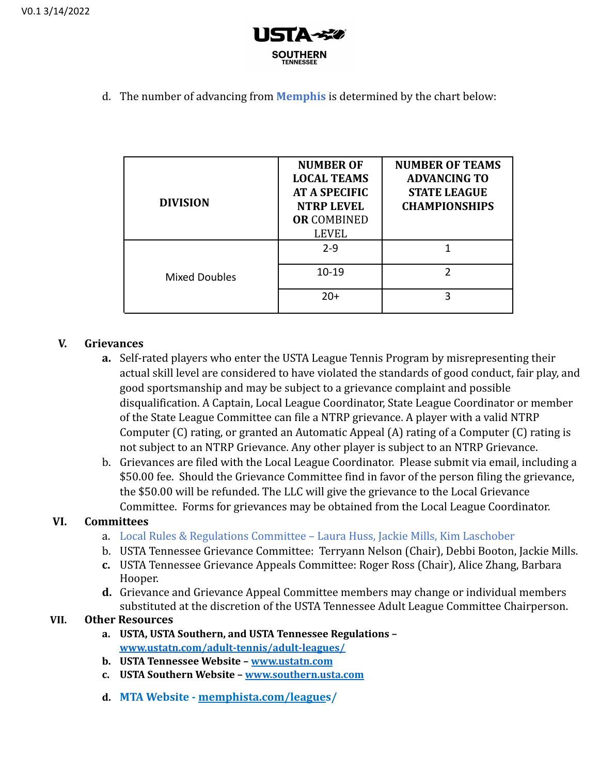

d. The number of advancing from **Memphis** is determined by the chart below:

| <b>DIVISION</b>      | <b>NUMBER OF</b><br><b>LOCAL TEAMS</b><br><b>AT A SPECIFIC</b><br><b>NTRP LEVEL</b><br><b>OR COMBINED</b><br><b>LEVEL</b> | <b>NUMBER OF TEAMS</b><br><b>ADVANCING TO</b><br><b>STATE LEAGUE</b><br><b>CHAMPIONSHIPS</b> |
|----------------------|---------------------------------------------------------------------------------------------------------------------------|----------------------------------------------------------------------------------------------|
|                      | $2 - 9$                                                                                                                   |                                                                                              |
| <b>Mixed Doubles</b> | $10 - 19$                                                                                                                 | າ                                                                                            |
|                      | $20+$                                                                                                                     | 3                                                                                            |

# **V. Grievances**

- **a.** Self-rated players who enter the USTA League Tennis Program by misrepresenting their actual skill level are considered to have violated the standards of good conduct, fair play, and good sportsmanship and may be subject to a grievance complaint and possible disqualification. A Captain, Local League Coordinator, State League Coordinator or member of the State League Committee can file a NTRP grievance. A player with a valid NTRP Computer (C) rating, or granted an Automatic Appeal (A) rating of a Computer (C) rating is not subject to an NTRP Grievance. Any other player is subject to an NTRP Grievance.
- b. Grievances are filed with the Local League Coordinator. Please submit via email, including a \$50.00 fee. Should the Grievance Committee find in favor of the person filing the grievance, the \$50.00 will be refunded. The LLC will give the grievance to the Local Grievance Committee. Forms for grievances may be obtained from the Local League Coordinator.

# **VI. Committees**

- a. Local Rules & Regulations Committee Laura Huss, Jackie Mills, Kim Laschober
- b. USTA Tennessee Grievance Committee: Terryann Nelson (Chair), Debbi Booton, Jackie Mills.
- **c.** USTA Tennessee Grievance Appeals Committee: Roger Ross (Chair), Alice Zhang, Barbara Hooper.
- **d.** Grievance and Grievance Appeal Committee members may change or individual members substituted at the discretion of the USTA Tennessee Adult League Committee Chairperson.

# **VII. Other Resources**

- **a. USTA, USTA Southern, and USTA Tennessee Regulations – [www.ustatn.com/adult-tennis/adult-leagues/](http://www.ustatn.com/adult-tennis/adult-leagues/)**
- **b. USTA Tennessee Website – [www.ustatn.com](http://www.ustatn.com)**
- **c. USTA Southern Website – [www.southern.usta.com](http://www.southern.usta.com)**
- **d. MTA Website - [memphista.com/league](https://www.memphista.com/leagues/)s/**